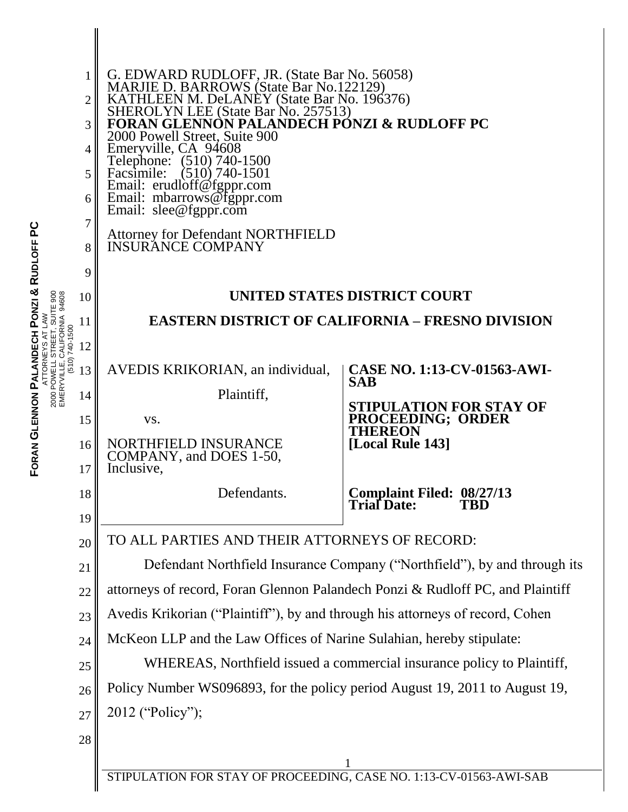|                                          | 1              |                                                                                                                                                                                                                                                                                                |                                                  |  |  |
|------------------------------------------|----------------|------------------------------------------------------------------------------------------------------------------------------------------------------------------------------------------------------------------------------------------------------------------------------------------------|--------------------------------------------------|--|--|
|                                          | $\overline{2}$ | G. EDWARD RUDLOFF, JR. (State Bar No. 56058)<br>MARJIE D. BARROWS (State Bar No.122129)<br>KATHLEEN M. DeLANEY (State Bar No. 196376)<br>SHEROLYN LEE (State Bar No. 257513)<br><b>FORAN GLENNON PALANDECH PÓNZI &amp; RUDLOFF PC</b><br>2000 Powell Street, Suite 900<br>Emeryville, CA 94608 |                                                  |  |  |
|                                          | 3              |                                                                                                                                                                                                                                                                                                |                                                  |  |  |
|                                          | $\overline{4}$ |                                                                                                                                                                                                                                                                                                |                                                  |  |  |
|                                          | 5              | Telephone: (510) 740-1500<br>$(510)$ 740-1501<br>Facsimile:<br>Email: erudloff@fgppr.com<br>Email: mbarrows@fgppr.com<br>Email: slee@fgppr.com<br><b>Attorney for Defendant NORTHFIELD<br/>INSURANCE COMPANY</b>                                                                               |                                                  |  |  |
|                                          | 6              |                                                                                                                                                                                                                                                                                                |                                                  |  |  |
|                                          | 7              |                                                                                                                                                                                                                                                                                                |                                                  |  |  |
|                                          | 8              |                                                                                                                                                                                                                                                                                                |                                                  |  |  |
|                                          | 9              |                                                                                                                                                                                                                                                                                                |                                                  |  |  |
| 94608                                    | 10             | UNITED STATES DISTRICT COURT                                                                                                                                                                                                                                                                   |                                                  |  |  |
|                                          | 11             | <b>EASTERN DISTRICT OF CALIFORNIA – FRESNO DIVISION</b>                                                                                                                                                                                                                                        |                                                  |  |  |
|                                          | 12             |                                                                                                                                                                                                                                                                                                |                                                  |  |  |
| EMERYVILLE, CALIFORNIA<br>(510) 740-1500 | 13             | AVEDIS KRIKORIAN, an individual,                                                                                                                                                                                                                                                               | <b>CASE NO. 1:13-CV-01563-AWI-</b><br><b>SAB</b> |  |  |
|                                          | 14             | Plaintiff,                                                                                                                                                                                                                                                                                     | STIPULATION FOR STAY OF                          |  |  |
|                                          | 15             | VS.                                                                                                                                                                                                                                                                                            | PROCEEDING; ORDER<br><b>THEREON</b>              |  |  |
|                                          | 16<br>17       | NORTHFIELD INSURANCE<br>COMPANY, and DOES 1-50,<br>Inclusive,                                                                                                                                                                                                                                  | [Local Rule 143]                                 |  |  |
|                                          | 18             | Defendants.                                                                                                                                                                                                                                                                                    | Complaint Filed: 08/27/13<br><b>Trial Date:</b>  |  |  |
|                                          | 19<br>20       | TO ALL PARTIES AND THEIR ATTORNEYS OF RECORD:                                                                                                                                                                                                                                                  |                                                  |  |  |
|                                          | 21             | Defendant Northfield Insurance Company ("Northfield"), by and through its                                                                                                                                                                                                                      |                                                  |  |  |
|                                          | 22             | attorneys of record, Foran Glennon Palandech Ponzi & Rudloff PC, and Plaintiff                                                                                                                                                                                                                 |                                                  |  |  |
|                                          | 23             | Avedis Krikorian ("Plaintiff"), by and through his attorneys of record, Cohen                                                                                                                                                                                                                  |                                                  |  |  |
|                                          | 24             | McKeon LLP and the Law Offices of Narine Sulahian, hereby stipulate:                                                                                                                                                                                                                           |                                                  |  |  |
|                                          | 25             | WHEREAS, Northfield issued a commercial insurance policy to Plaintiff,                                                                                                                                                                                                                         |                                                  |  |  |
|                                          | 26             | Policy Number WS096893, for the policy period August 19, 2011 to August 19,                                                                                                                                                                                                                    |                                                  |  |  |
|                                          | 27             | 2012 ("Policy");                                                                                                                                                                                                                                                                               |                                                  |  |  |
|                                          | 28             |                                                                                                                                                                                                                                                                                                |                                                  |  |  |
|                                          |                | STIPULATION FOR STAY OF PROCEEDING, CASE NO. 1:13-CV-01563-AWI-SAB                                                                                                                                                                                                                             |                                                  |  |  |
|                                          |                |                                                                                                                                                                                                                                                                                                |                                                  |  |  |

**FORAN GLENNON PALANDECH PONZI & RUDLOFF PC** ATTORNEYS AT LAW 2000 POWELL STREET, SUITE 900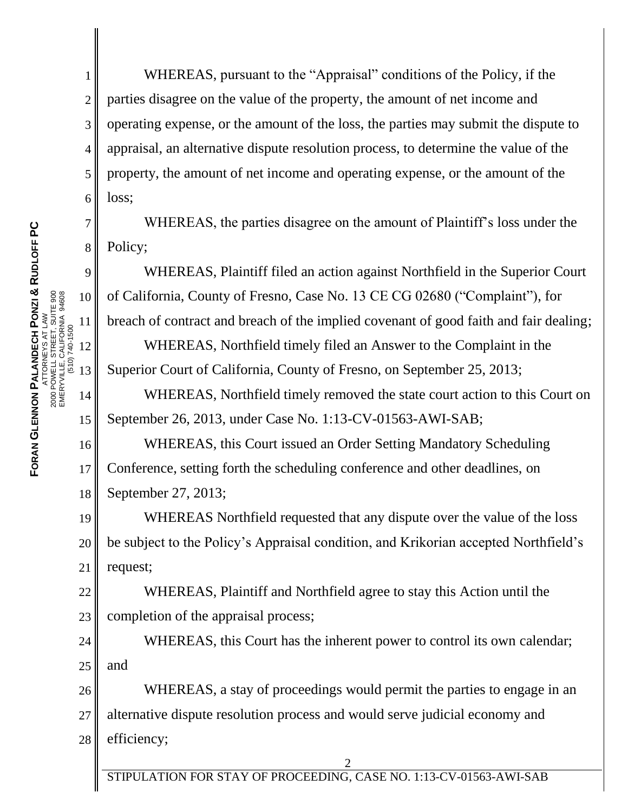1

2

7

8

9

10

11

12

EMERYVILLE, CALIFORNIA 94608 (510) 740-1500

13

14

15

3 4 5 6 WHEREAS, pursuant to the "Appraisal" conditions of the Policy, if the parties disagree on the value of the property, the amount of net income and operating expense, or the amount of the loss, the parties may submit the dispute to appraisal, an alternative dispute resolution process, to determine the value of the property, the amount of net income and operating expense, or the amount of the loss;

WHEREAS, the parties disagree on the amount of Plaintiff's loss under the Policy;

WHEREAS, Plaintiff filed an action against Northfield in the Superior Court of California, County of Fresno, Case No. 13 CE CG 02680 ("Complaint"), for breach of contract and breach of the implied covenant of good faith and fair dealing;

WHEREAS, Northfield timely filed an Answer to the Complaint in the Superior Court of California, County of Fresno, on September 25, 2013;

WHEREAS, Northfield timely removed the state court action to this Court on September 26, 2013, under Case No. 1:13-CV-01563-AWI-SAB;

16 17 18 WHEREAS, this Court issued an Order Setting Mandatory Scheduling Conference, setting forth the scheduling conference and other deadlines, on September 27, 2013;

19 20 21 WHEREAS Northfield requested that any dispute over the value of the loss be subject to the Policy's Appraisal condition, and Krikorian accepted Northfield's request;

22 23 WHEREAS, Plaintiff and Northfield agree to stay this Action until the completion of the appraisal process;

24 25 WHEREAS, this Court has the inherent power to control its own calendar; and

26 27 28 WHEREAS, a stay of proceedings would permit the parties to engage in an alternative dispute resolution process and would serve judicial economy and efficiency;

STIPULATION FOR STAY OF PROCEEDING, CASE NO. 1:13-CV-01563-AWI-SAB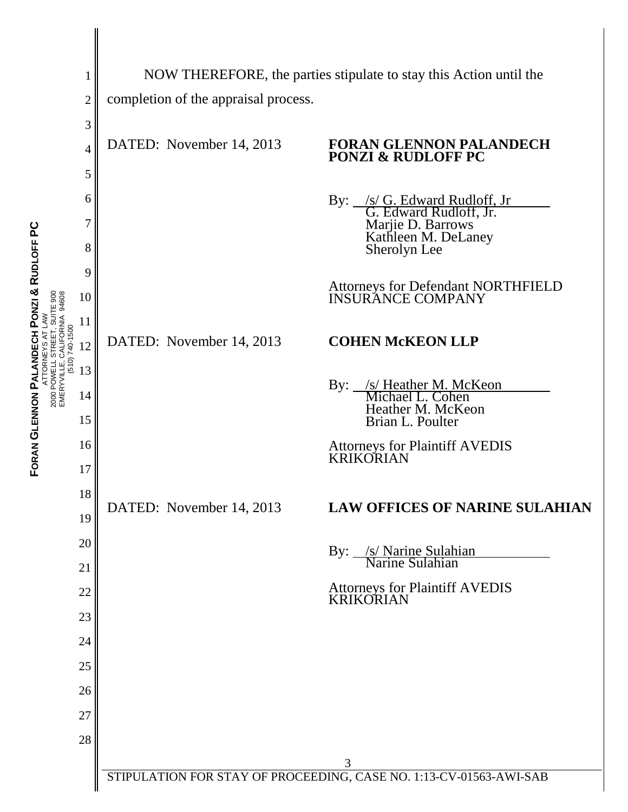|                                                                                                                   | 1                                                                  | NOW THEREFORE, the parties stipulate to stay this Action until the |                                                                                                                             |  |
|-------------------------------------------------------------------------------------------------------------------|--------------------------------------------------------------------|--------------------------------------------------------------------|-----------------------------------------------------------------------------------------------------------------------------|--|
|                                                                                                                   | $\overline{c}$                                                     | completion of the appraisal process.                               |                                                                                                                             |  |
|                                                                                                                   | 3                                                                  |                                                                    |                                                                                                                             |  |
|                                                                                                                   | 4                                                                  | DATED: November 14, 2013                                           | FORAN GLENNON PALANDECH<br><b>PONZI &amp; RUDLOFF PC</b>                                                                    |  |
|                                                                                                                   | 5                                                                  |                                                                    |                                                                                                                             |  |
|                                                                                                                   | 6                                                                  |                                                                    |                                                                                                                             |  |
|                                                                                                                   | 7                                                                  |                                                                    |                                                                                                                             |  |
|                                                                                                                   | 8                                                                  |                                                                    | By: <u>/s/ G. Edward Rudloff, Jr.</u><br>G. Edward Rudloff, Jr.<br>Marjie D. Barrows<br>Kathleen M. DeLaney<br>Sherolyn Lee |  |
|                                                                                                                   | 9                                                                  |                                                                    |                                                                                                                             |  |
| ATTORNEYS AT LAW<br>2000 POWELL STREET, SUITE 900<br>EMERYVILLE, CALIFORNIA 94608<br>EMERYVILLE, CALIFORNIA 94608 | 10                                                                 |                                                                    | <b>Attorneys for Defendant NORTHFIELD<br/>INSURANCE COMPANY</b>                                                             |  |
|                                                                                                                   | 11                                                                 |                                                                    |                                                                                                                             |  |
|                                                                                                                   | 12                                                                 | DATED: November 14, 2013                                           | <b>COHEN McKEON LLP</b>                                                                                                     |  |
|                                                                                                                   | 13                                                                 |                                                                    |                                                                                                                             |  |
|                                                                                                                   | 14                                                                 |                                                                    | By: <u>/s/ Heather M. McKeon</u><br>Michael L. Cohen<br>Heather M. McKeon                                                   |  |
|                                                                                                                   | 15                                                                 |                                                                    | Brian L. Poulter                                                                                                            |  |
|                                                                                                                   | 16                                                                 | DATED: November 14, 2013                                           | <b>Attorneys for Plaintiff AVEDIS<br/>KRIKORIAN</b>                                                                         |  |
|                                                                                                                   | 17                                                                 |                                                                    |                                                                                                                             |  |
|                                                                                                                   | 18                                                                 |                                                                    | <b>LAW OFFICES OF NARINE SULAHIAN</b>                                                                                       |  |
|                                                                                                                   | 19                                                                 |                                                                    |                                                                                                                             |  |
|                                                                                                                   | 20<br>21                                                           |                                                                    | By: <u>/s/ Narine Sulahian</u><br>Narine Sulahian                                                                           |  |
|                                                                                                                   | 22                                                                 |                                                                    | <b>Attorneys for Plaintiff AVEDIS<br/>KRIKORIAN</b>                                                                         |  |
|                                                                                                                   | 23                                                                 |                                                                    |                                                                                                                             |  |
|                                                                                                                   | 24                                                                 |                                                                    |                                                                                                                             |  |
|                                                                                                                   | 25                                                                 |                                                                    |                                                                                                                             |  |
|                                                                                                                   | 26                                                                 |                                                                    |                                                                                                                             |  |
|                                                                                                                   | 27                                                                 |                                                                    |                                                                                                                             |  |
|                                                                                                                   | 28                                                                 |                                                                    |                                                                                                                             |  |
|                                                                                                                   |                                                                    |                                                                    | 3                                                                                                                           |  |
|                                                                                                                   | STIPULATION FOR STAY OF PROCEEDING, CASE NO. 1:13-CV-01563-AWI-SAB |                                                                    |                                                                                                                             |  |

**FORAN** 

**GLENNON** 

**PALANDECH** 

**PONZI &**

**RUDLOFF PC**